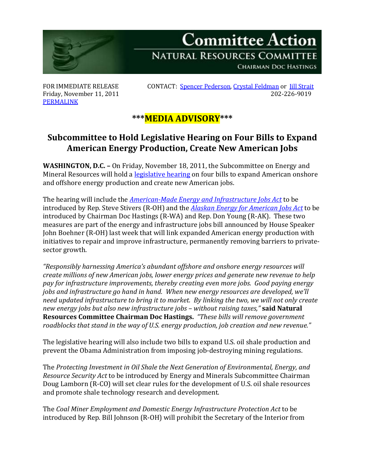

Friday, November 11, 2011 **[PERMALINK](http://naturalresources.house.gov/News/DocumentSingle.aspx?DocumentID=268700)** 

FOR IMMEDIATE RELEASE CONTACT: [Spencer Pederson,](mailto:spencer.pederson@mail.house.gov) [Crystal Feldman](mailto:crystal.feldman@mail.house.gov) or [Jill Strait](mailto:jill.strait@mail.house.gov)<br>Friday. November 11, 2011

## **\*\*\*MEDIA ADVISORY\*\*\***

## **Subcommittee to Hold Legislative Hearing on Four Bills to Expand American Energy Production, Create New American Jobs**

**WASHINGTON, D.C. –** On Friday, November 18, 2011, the Subcommittee on Energy and Mineral Resources will hold a [legislative hearing](http://naturalresources.house.gov/Calendar/EventSingle.aspx?EventID=268683) on four bills to expand American onshore and offshore energy production and create new American jobs.

The hearing will include the *[American-Made Energy and Infrastructure Jobs Act](http://stivers.house.gov/News/DocumentSingle.aspx?DocumentID=268719)* to be introduced by Rep. Steve Stivers (R-OH) and the *Alaskan [Energy for American Jobs Act](http://naturalresources.house.gov/News/DocumentSingle.aspx?DocumentID=268718)* to be introduced by Chairman Doc Hastings (R-WA) and Rep. Don Young (R-AK). These two measures are part of the energy and infrastructure jobs bill announced by House Speaker John Boehner (R-OH) last week that will link expanded American energy production with initiatives to repair and improve infrastructure, permanently removing barriers to privatesector growth.

*"Responsibly harnessing America's abundant offshore and onshore energy resources will create millions of new American jobs, lower energy prices and generate new revenue to help pay for infrastructure improvements, thereby creating even more jobs. Good paying energy jobs and infrastructure go hand in hand. When new energy resources are developed, we'll need updated infrastructure to bring it to market. By linking the two, we will not only create new energy jobs but also new infrastructure jobs – without raising taxes,"* **said Natural Resources Committee Chairman Doc Hastings.** *"These bills will remove government roadblocks that stand in the way of U.S. energy production, job creation and new revenue."*

The legislative hearing will also include two bills to expand U.S. oil shale production and prevent the Obama Administration from imposing job-destroying mining regulations.

The *Protecting Investment in Oil Shale the Next Generation of Environmental, Energy, and Resource Security Act* to be introduced by Energy and Minerals Subcommittee Chairman Doug Lamborn (R-CO) will set clear rules for the development of U.S. oil shale resources and promote shale technology research and development.

The *Coal Miner Employment and Domestic Energy Infrastructure Protection Act* to be introduced by Rep. Bill Johnson (R-OH) will prohibit the Secretary of the Interior from